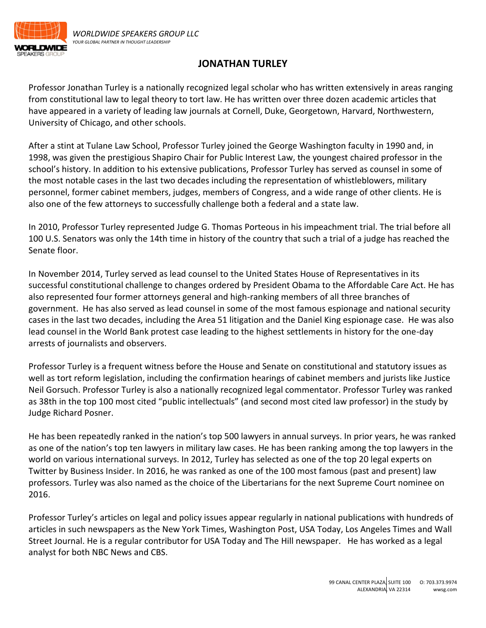

## **JONATHAN TURLEY**

Professor Jonathan Turley is a nationally recognized legal scholar who has written extensively in areas ranging from constitutional law to legal theory to tort law. He has written over three dozen academic articles that have appeared in a variety of leading law journals at Cornell, Duke, Georgetown, Harvard, Northwestern, University of Chicago, and other schools.

After a stint at Tulane Law School, Professor Turley joined the George Washington faculty in 1990 and, in 1998, was given the prestigious Shapiro Chair for Public Interest Law, the youngest chaired professor in the school's history. In addition to his extensive publications, Professor Turley has served as counsel in some of the most notable cases in the last two decades including the representation of whistleblowers, military personnel, former cabinet members, judges, members of Congress, and a wide range of other clients. He is also one of the few attorneys to successfully challenge both a federal and a state law.

In 2010, Professor Turley represented Judge G. Thomas Porteous in his impeachment trial. The trial before all 100 U.S. Senators was only the 14th time in history of the country that such a trial of a judge has reached the Senate floor.

In November 2014, Turley served as lead counsel to the United States House of Representatives in its successful constitutional challenge to changes ordered by President Obama to the Affordable Care Act. He has also represented four former attorneys general and high-ranking members of all three branches of government. He has also served as lead counsel in some of the most famous espionage and national security cases in the last two decades, including the Area 51 litigation and the Daniel King espionage case. He was also lead counsel in the World Bank protest case leading to the highest settlements in history for the one-day arrests of journalists and observers.

Professor Turley is a frequent witness before the House and Senate on constitutional and statutory issues as well as tort reform legislation, including the confirmation hearings of cabinet members and jurists like Justice Neil Gorsuch. Professor Turley is also a nationally recognized legal commentator. Professor Turley was ranked as 38th in the top 100 most cited "public intellectuals" (and second most cited law professor) in the study by Judge Richard Posner.

He has been repeatedly ranked in the nation's top 500 lawyers in annual surveys. In prior years, he was ranked as one of the nation's top ten lawyers in military law cases. He has been ranking among the top lawyers in the world on various international surveys. In 2012, Turley has selected as one of the top 20 legal experts on Twitter by Business Insider. In 2016, he was ranked as one of the 100 most famous (past and present) law professors. Turley was also named as the choice of the Libertarians for the next Supreme Court nominee on 2016.

Professor Turley's articles on legal and policy issues appear regularly in national publications with hundreds of articles in such newspapers as the New York Times, Washington Post, USA Today, Los Angeles Times and Wall Street Journal. He is a regular contributor for USA Today and The Hill newspaper. He has worked as a legal analyst for both NBC News and CBS.